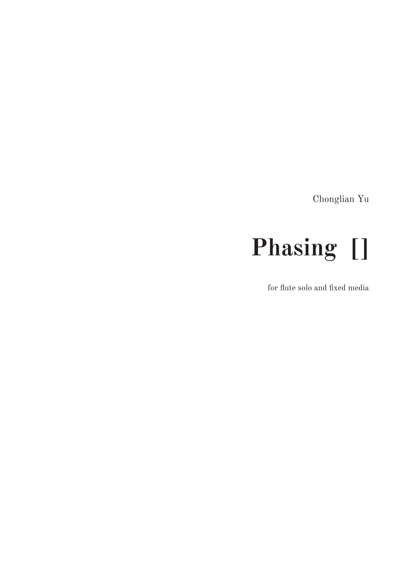Chonglian Yu

# **Phasing []**

for flute solo and fixed media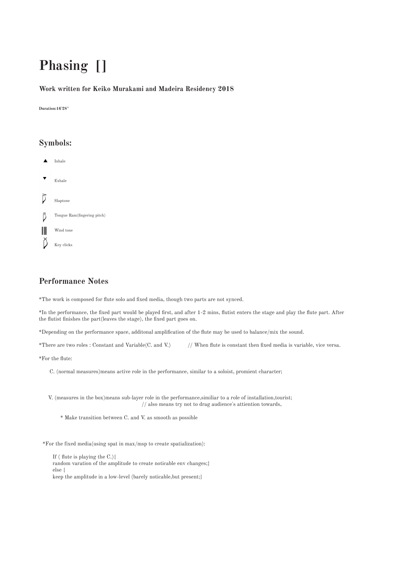### **Phasing []**

#### **Work written for Keiko Murakami and Madeira Residency 2018**

**Duration:16'28''**

#### **Symbols:**

- Inhale
- Exhale
- D Slaptone D Tongue Ram(fingering pitch)  $\mathbf{||}$ Wind tone Ê Key clicks

#### **Performance Notes**

\*The work is composed for flute solo and fixed media, though two parts are not synced.

\*In the performance, the fixed part would be played first, and after 1-2 mins, flutist enters the stage and play the flute part. After the flutist finishes the part(leaves the stage), the fixed part goes on.

\*Depending on the performance space, additonal amplification of the flute may be used to balance/mix the sound.

\*There are two roles : Constant and Variable(C. and V.) // When flute is constant then fixed media is variable, vice versa.

\*For the flute:

C. (normal measures)means active role in the performance, similar to a soloist, promient character;

V. (measures in the box)means sub-layer role in the performance,similiar to a role of installation,tourist; // also means try not to drag audience's attiention towards,

\* Make transition between C. and V. as smooth as possible

\*For the fixed media(using spat in max/msp to create spatialization):

 If ( flute is playing the C.){ random varation of the amplitude to create noticable env changes;} else { keep the amplitude in a low-level (barely noticable,but present;}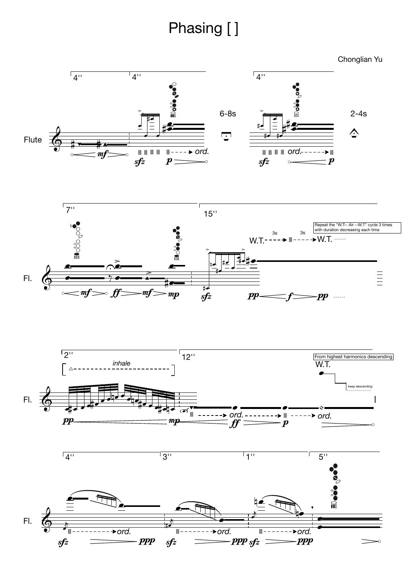## Phasing []

Chonglian Yu



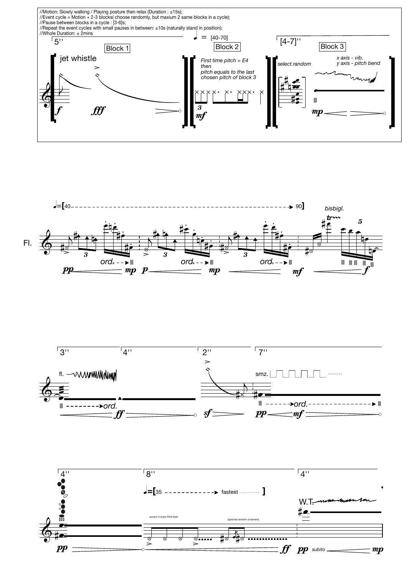





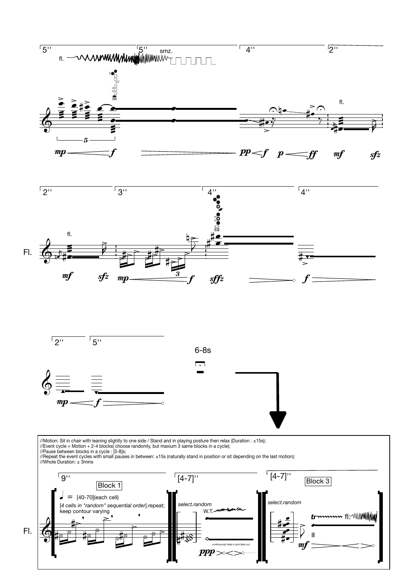

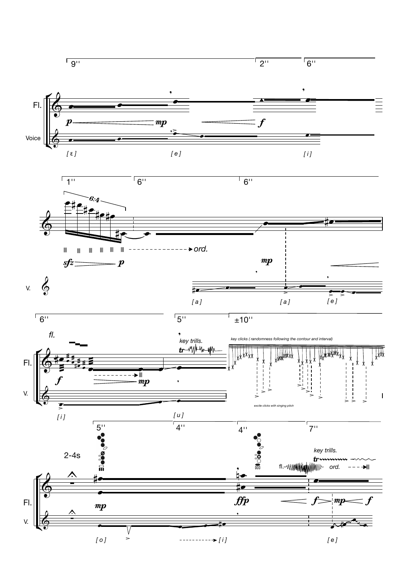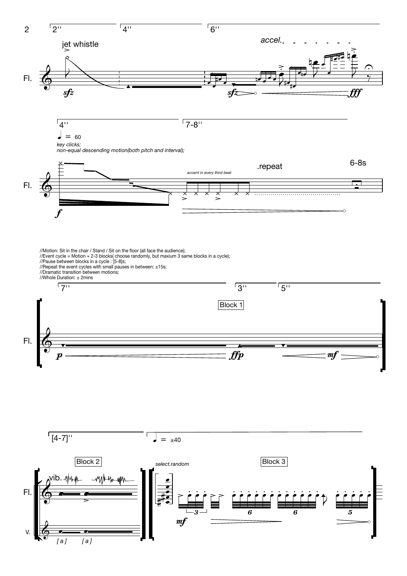